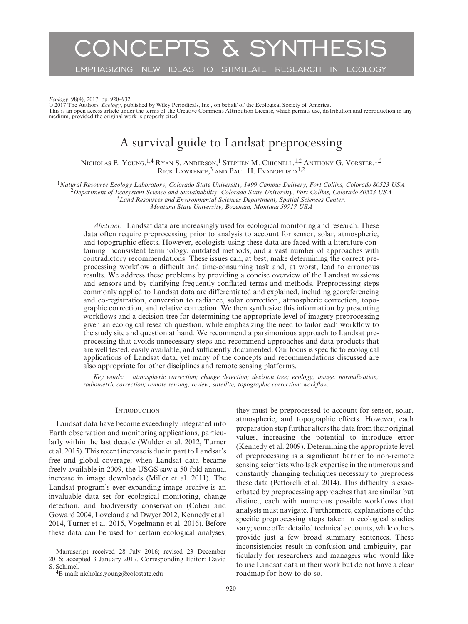# CONCEPTS & SYNTHESIS

EMPHASIZING NEW IDEAS TO STIMULATE RESEARCH IN ECOLOGY

Ecology, 98(4), 2017, pp. 920–932<br>© 2017 The Authors. Ecology, published by Wiley Periodicals, Inc., on behalf of the Ecological Society of America.<br>This is an open access article under the terms of the Creative Commons At medium, provided the original work is properly cited.

# A survival guide to Landsat preprocessing

Nicholas E. Young, <sup>1,4</sup> Ryan S. Anderson, <sup>1</sup> Stephen M. Chignell, <sup>1,2</sup> Anthony G. Vorster, <sup>1,2</sup> RICK LAWRENCE,<sup>3</sup> AND PAUL H. EVANGELISTA<sup>1,2</sup>

<sup>1</sup>Natural Resource Ecology Laboratory, Colorado State University, 1499 Campus Delivery, Fort Collins, Colorado 80523 USA<br><sup>2</sup>Department of Ecosystem Science and Sustainability, Colorado State University, Fort Collins, Col

*Montana State University, Bozeman, Montana 59717 USA*

*Abstract*. Landsat data are increasingly used for ecological monitoring and research. These data often require preprocessing prior to analysis to account for sensor, solar, atmospheric, and topographic effects. However, ecologists using these data are faced with a literature containing inconsistent terminology, outdated methods, and a vast number of approaches with contradictory recommendations. These issues can, at best, make determining the correct preprocessing workflow a difficult and time-consuming task and, at worst, lead to erroneous results. We address these problems by providing a concise overview of the Landsat missions and sensors and by clarifying frequently conflated terms and methods. Preprocessing steps commonly applied to Landsat data are differentiated and explained, including georeferencing and co-registration, conversion to radiance, solar correction, atmospheric correction, topographic correction, and relative correction. We then synthesize this information by presenting workflows and a decision tree for determining the appropriate level of imagery preprocessing given an ecological research question, while emphasizing the need to tailor each workflow to the study site and question at hand. We recommend a parsimonious approach to Landsat preprocessing that avoids unnecessary steps and recommend approaches and data products that are well tested, easily available, and sufficiently documented. Our focus is specific to ecological applications of Landsat data, yet many of the concepts and recommendations discussed are also appropriate for other disciplines and remote sensing platforms.

*Key words: atmospheric correction; change detection; decision tree; ecology; image; normalization; radiometric correction; remote sensing; review; satellite; topographic correction; workflow.*

# **INTRODUCTION**

Landsat data have become exceedingly integrated into Earth observation and monitoring applications, particularly within the last decade (Wulder et al. 2012, Turner et al. 2015). This recent increase is due in part to Landsat's free and global coverage; when Landsat data became freely available in 2009, the USGS saw a 50-fold annual increase in image downloads (Miller et al. 2011). The Landsat program's ever-expanding image archive is an invaluable data set for ecological monitoring, change detection, and biodiversity conservation (Cohen and Goward 2004, Loveland and Dwyer 2012, Kennedy et al. 2014, Turner et al. 2015, Vogelmann et al. 2016). Before these data can be used for certain ecological analyses,

Manuscript received 28 July 2016; revised 23 December 2016; accepted 3 January 2017. Corresponding Editor: David

<sup>4</sup>E-mail: [nicholas.young@colostate.edu](mailto:nicholas.young@colostate.edu)

they must be preprocessed to account for sensor, solar, atmospheric, and topographic effects. However, each preparation step further alters the data from their original values, increasing the potential to introduce error (Kennedy et al. 2009). Determining the appropriate level of preprocessing is a significant barrier to non-remote sensing scientists who lack expertise in the numerous and constantly changing techniques necessary to preprocess these data (Pettorelli et al. 2014). This difficulty is exacerbated by preprocessing approaches that are similar but distinct, each with numerous possible workflows that analysts must navigate. Furthermore, explanations of the specific preprocessing steps taken in ecological studies vary; some offer detailed technical accounts, while others provide just a few broad summary sentences. These inconsistencies result in confusion and ambiguity, particularly for researchers and managers who would like to use Landsat data in their work but do not have a clear roadmap for how to do so.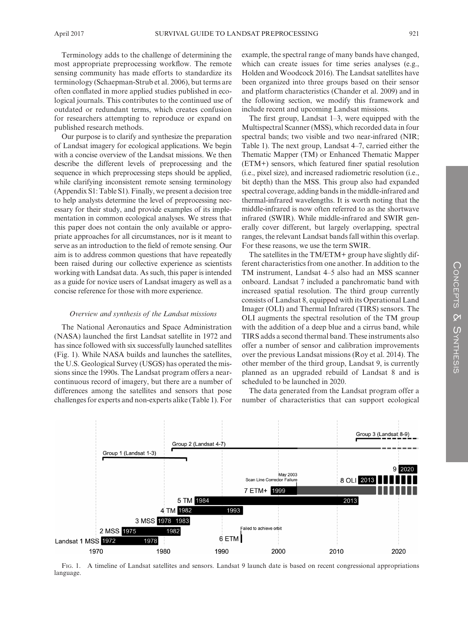Terminology adds to the challenge of determining the most appropriate preprocessing workflow. The remote sensing community has made efforts to standardize its terminology (Schaepman-Strub et al. 2006), but terms are often conflated in more applied studies published in ecological journals. This contributes to the continued use of outdated or redundant terms, which creates confusion for researchers attempting to reproduce or expand on published research methods.

Our purpose is to clarify and synthesize the preparation of Landsat imagery for ecological applications. We begin with a concise overview of the Landsat missions. We then describe the different levels of preprocessing and the sequence in which preprocessing steps should be applied, while clarifying inconsistent remote sensing terminology (Appendix S1: Table S1). Finally, we present a decision tree to help analysts determine the level of preprocessing necessary for their study, and provide examples of its implementation in common ecological analyses. We stress that this paper does not contain the only available or appropriate approaches for all circumstances, nor is it meant to serve as an introduction to the field of remote sensing. Our aim is to address common questions that have repeatedly been raised during our collective experience as scientists working with Landsat data. As such, this paper is intended as a guide for novice users of Landsat imagery as well as a concise reference for those with more experience.

#### *Overview and synthesis of the Landsat missions*

The National Aeronautics and Space Administration (NASA) launched the first Landsat satellite in 1972 and has since followed with six successfully launched satellites (Fig. 1). While NASA builds and launches the satellites, the U.S. Geological Survey (USGS) has operated the missions since the 1990s. The Landsat program offers a nearcontinuous record of imagery, but there are a number of differences among the satellites and sensors that pose challenges for experts and non-experts alike (Table 1). For example, the spectral range of many bands have changed, which can create issues for time series analyses (e.g., Holden and Woodcock 2016). The Landsat satellites have been organized into three groups based on their sensor and platform characteristics (Chander et al. 2009) and in the following section, we modify this framework and include recent and upcoming Landsat missions.

The first group, Landsat 1–3, were equipped with the Multispectral Scanner (MSS), which recorded data in four spectral bands; two visible and two near-infrared (NIR; Table 1). The next group, Landsat 4–7, carried either the Thematic Mapper (TM) or Enhanced Thematic Mapper (ETM+) sensors, which featured finer spatial resolution (i.e., pixel size), and increased radiometric resolution (i.e., bit depth) than the MSS. This group also had expanded spectral coverage, adding bands in the middle-infrared and thermal-infrared wavelengths. It is worth noting that the middle-infrared is now often referred to as the shortwave infrared (SWIR). While middle-infrared and SWIR generally cover different, but largely overlapping, spectral ranges, the relevant Landsat bands fall within this overlap. For these reasons, we use the term SWIR.

The satellites in the TM/ETM+ group have slightly different characteristics from one another. In addition to the TM instrument, Landsat 4–5 also had an MSS scanner onboard. Landsat 7 included a panchromatic band with increased spatial resolution. The third group currently consists of Landsat 8, equipped with its Operational Land Imager (OLI) and Thermal Infrared (TIRS) sensors. The OLI augments the spectral resolution of the TM group with the addition of a deep blue and a cirrus band, while TIRS adds a second thermal band. These instruments also offer a number of sensor and calibration improvements over the previous Landsat missions (Roy et al. 2014). The other member of the third group, Landsat 9, is currently planned as an upgraded rebuild of Landsat 8 and is scheduled to be launched in 2020.

The data generated from the Landsat program offer a number of characteristics that can support ecological



Fig. 1. A timeline of Landsat satellites and sensors. Landsat 9 launch date is based on recent congressional appropriations language.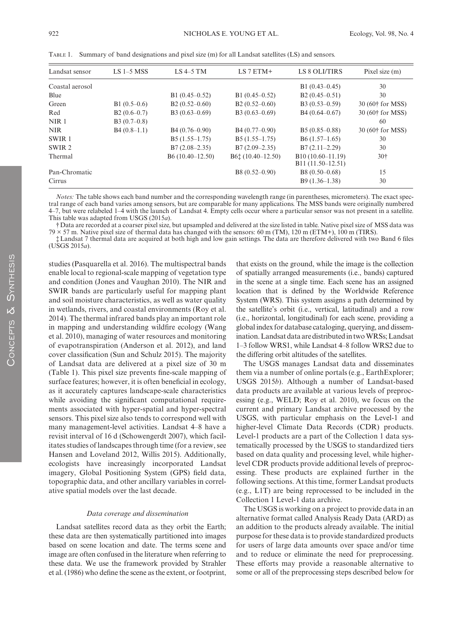| Landsat sensor    | LS $1-5$ MSS  | $LS$ 4-5 TM        | $LS 7 ETM+$        | LS 8 OLI/TIRS                                      | Pixel size $(m)$             |
|-------------------|---------------|--------------------|--------------------|----------------------------------------------------|------------------------------|
| Coastal aerosol   |               |                    |                    | B1 $(0.43 - 0.45)$                                 | 30                           |
| Blue              |               | B1 $(0.45-0.52)$   | B1 $(0.45-0.52)$   | $B2(0.45-0.51)$                                    | 30                           |
| Green             | $B1(0.5-0.6)$ | $B2(0.52-0.60)$    | $B2(0.52-0.60)$    | $B3(0.53-0.59)$                                    | 30 (60† for MSS)             |
| Red               | $B2(0.6-0.7)$ | B3 $(0.63 - 0.69)$ | B3 $(0.63 - 0.69)$ | $B4(0.64 - 0.67)$                                  | 30 (60 <sup>†</sup> for MSS) |
| NIR <sub>1</sub>  | $B3(0.7-0.8)$ |                    |                    |                                                    | 60                           |
| <b>NIR</b>        | $B4(0.8-1.1)$ | $B4(0.76-0.90)$    | $B4(0.77-0.90)$    | $B5(0.85-0.88)$                                    | 30 (60† for MSS)             |
| SWIR <sub>1</sub> |               | $B5(1.55-1.75)$    | $B5(1.55-1.75)$    | $B6(1.57-1.65)$                                    | 30                           |
| SWIR <sub>2</sub> |               | $B7(2.08-2.35)$    | $B7(2.09-2.35)$    | $B7(2.11-2.29)$                                    | 30                           |
| Thermal           |               | $B6(10.40-12.50)$  | $B6t(10.40-12.50)$ | B <sub>10</sub> (10.60-11.19)<br>B11 (11.50–12.51) | 30 <sup>†</sup>              |
| Pan-Chromatic     |               |                    | B8 $(0.52 - 0.90)$ | B8 $(0.50-0.68)$                                   | 15                           |
| Cirrus            |               |                    |                    | $B9(1.36-1.38)$                                    | 30                           |

Table 1. Summary of band designations and pixel size (m) for all Landsat satellites (LS) and sensors.

*Notes:* The table shows each band number and the corresponding wavelength range (in parentheses, micrometers). The exact spectral range of each band varies among sensors, but are comparable for many applications. The MSS bands were originally numbered 4–7, but were relabeled 1–4 with the launch of Landsat 4. Empty cells occur where a particular sensor was not present in a satellite. This table was adapted from USGS (2015*a*).

†Data are recorded at a coarser pixel size, but upsampled and delivered at the size listed in table. Native pixel size of MSS data was  $79 \times 57$  m. Native pixel size of thermal data has changed with the sensors: 60 m (TM), 120 m (ETM+), 100 m (TIRS).

‡Landsat 7 thermal data are acquired at both high and low gain settings. The data are therefore delivered with two Band 6 files (USGS 2015*a*).

studies (Pasquarella et al. 2016). The multispectral bands enable local to regional-scale mapping of vegetation type and condition (Jones and Vaughan 2010). The NIR and SWIR bands are particularly useful for mapping plant and soil moisture characteristics, as well as water quality in wetlands, rivers, and coastal environments (Roy et al. 2014). The thermal infrared bands play an important role in mapping and understanding wildfire ecology (Wang et al. 2010), managing of water resources and monitoring of evapotranspiration (Anderson et al. 2012), and land cover classification (Sun and Schulz 2015). The majority of Landsat data are delivered at a pixel size of 30 m (Table 1). This pixel size prevents fine-scale mapping of surface features; however, it is often beneficial in ecology, as it accurately captures landscape-scale characteristics while avoiding the significant computational requirements associated with hyper-spatial and hyper-spectral sensors. This pixel size also tends to correspond well with many management-level activities. Landsat 4–8 have a revisit interval of 16 d (Schowengerdt 2007), which facilitates studies of landscapes through time (for a review, see Hansen and Loveland 2012, Willis 2015). Additionally, ecologists have increasingly incorporated Landsat imagery, Global Positioning System (GPS) field data, topographic data, and other ancillary variables in correlative spatial models over the last decade.

#### *Data coverage and dissemination*

Landsat satellites record data as they orbit the Earth; these data are then systematically partitioned into images based on scene location and date. The terms scene and image are often confused in the literature when referring to these data. We use the framework provided by Strahler et al. (1986) who define the scene as the extent, or footprint, that exists on the ground, while the image is the collection of spatially arranged measurements (i.e., bands) captured in the scene at a single time. Each scene has an assigned location that is defined by the Worldwide Reference System (WRS). This system assigns a path determined by the satellite's orbit (i.e., vertical, latitudinal) and a row (i.e., horizontal, longitudinal) for each scene, providing a global index for database cataloging, querying, and dissemination. Landsat data are distributed in two WRSs; Landsat 1–3 follow WRS1, while Landsat 4–8 follow WRS2 due to the differing orbit altitudes of the satellites.

The USGS manages Landsat data and disseminates them via a number of online portals (e.g., EarthExplorer; USGS 2015*b*). Although a number of Landsat-based data products are available at various levels of preprocessing (e.g., WELD; Roy et al. 2010), we focus on the current and primary Landsat archive processed by the USGS, with particular emphasis on the Level-1 and higher-level Climate Data Records (CDR) products. Level-1 products are a part of the Collection 1 data systematically processed by the USGS to standardized tiers based on data quality and processing level, while higherlevel CDR products provide additional levels of preprocessing. These products are explained further in the following sections. At this time, former Landsat products (e.g., L1T) are being reprocessed to be included in the Collection 1 Level-1 data archive.

The USGS is working on a project to provide data in an alternative format called Analysis Ready Data (ARD) as an addition to the products already available. The initial purpose for these data is to provide standardized products for users of large data amounts over space and/or time and to reduce or eliminate the need for preprocessing. These efforts may provide a reasonable alternative to some or all of the preprocessing steps described below for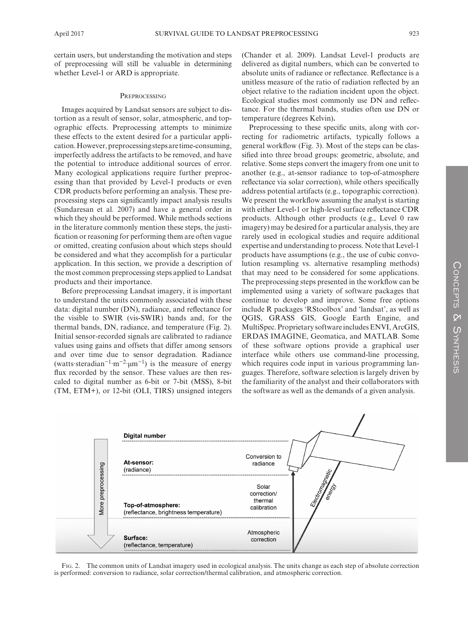certain users, but understanding the motivation and steps of preprocessing will still be valuable in determining whether Level-1 or ARD is appropriate.

#### **PREPROCESSING**

Images acquired by Landsat sensors are subject to distortion as a result of sensor, solar, atmospheric, and topographic effects. Preprocessing attempts to minimize these effects to the extent desired for a particular application. However, preprocessing steps are time-consuming, imperfectly address the artifacts to be removed, and have the potential to introduce additional sources of error. Many ecological applications require further preprocessing than that provided by Level-1 products or even CDR products before performing an analysis. These preprocessing steps can significantly impact analysis results (Sundaresan et al. 2007) and have a general order in which they should be performed. While methods sections in the literature commonly mention these steps, the justification or reasoning for performing them are often vague or omitted, creating confusion about which steps should be considered and what they accomplish for a particular application. In this section, we provide a description of the most common preprocessing steps applied to Landsat products and their importance.

Before preprocessing Landsat imagery, it is important to understand the units commonly associated with these data: digital number (DN), radiance, and reflectance for the visible to SWIR (vis-SWIR) bands and, for the thermal bands, DN, radiance, and temperature (Fig. 2). Initial sensor-recorded signals are calibrated to radiance values using gains and offsets that differ among sensors and over time due to sensor degradation. Radiance (watts·steradian<sup>-1</sup>·m<sup>-2</sup>·μm<sup>-1</sup>) is the measure of energy flux recorded by the sensor. These values are then rescaled to digital number as 6-bit or 7-bit (MSS), 8-bit (TM, ETM+), or 12-bit (OLI, TIRS) unsigned integers (Chander et al. 2009). Landsat Level-1 products are delivered as digital numbers, which can be converted to absolute units of radiance or reflectance. Reflectance is a unitless measure of the ratio of radiation reflected by an object relative to the radiation incident upon the object. Ecological studies most commonly use DN and reflectance. For the thermal bands, studies often use DN or temperature (degrees Kelvin)**.**

Preprocessing to these specific units, along with correcting for radiometric artifacts, typically follows a general workflow (Fig. 3). Most of the steps can be classified into three broad groups: geometric, absolute, and relative. Some steps convert the imagery from one unit to another (e.g., at-sensor radiance to top-of-atmosphere reflectance via solar correction), while others specifically address potential artifacts (e.g., topographic correction). We present the workflow assuming the analyst is starting with either Level-1 or high-level surface reflectance CDR products. Although other products (e.g., Level 0 raw imagery) may be desired for a particular analysis, they are rarely used in ecological studies and require additional expertise and understanding to process. Note that Level-1 products have assumptions (e.g., the use of cubic convolution resampling vs. alternative resampling methods) that may need to be considered for some applications. The preprocessing steps presented in the workflow can be implemented using a variety of software packages that continue to develop and improve. Some free options include R packages 'RStoolbox' and 'landsat', as well as QGIS, GRASS GIS, Google Earth Engine, and MultiSpec. Proprietary software includes ENVI, ArcGIS, ERDAS IMAGINE, Geomatica, and MATLAB. Some of these software options provide a graphical user interface while others use command-line processing, which requires code input in various programming languages. Therefore, software selection is largely driven by the familiarity of the analyst and their collaborators with the software as well as the demands of a given analysis.



Fig. 2. The common units of Landsat imagery used in ecological analysis. The units change as each step of absolute correction is performed: conversion to radiance, solar correction/thermal calibration, and atmospheric correction.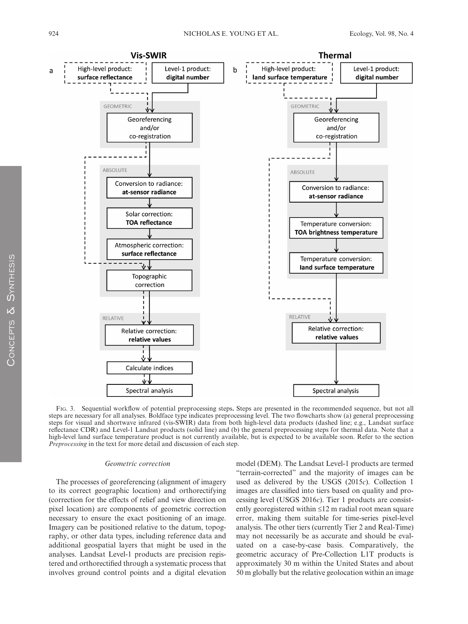

Fig. 3. Sequential workflow of potential preprocessing steps**.** Steps are presented in the recommended sequence, but not all steps are necessary for all analyses. Boldface type indicates preprocessing level. The two flowcharts show (a) general preprocessing steps for visual and shortwave infrared (vis-SWIR) data from both high-level data products (dashed line; e.g., Landsat surface reflectance CDR) and Level-1 Landsat products (solid line) and (b) the general preprocessing steps for thermal data. Note that a high-level land surface temperature product is not currently available, but is expected to be available soon. Refer to the section *Preprocessing* in the text for more detail and discussion of each step.

#### *Geometric correction*

The processes of georeferencing (alignment of imagery to its correct geographic location) and orthorectifying (correction for the effects of relief and view direction on pixel location) are components of geometric correction necessary to ensure the exact positioning of an image. Imagery can be positioned relative to the datum, topography, or other data types, including reference data and additional geospatial layers that might be used in the analyses. Landsat Level-1 products are precision registered and orthorectified through a systematic process that involves ground control points and a digital elevation

model (DEM). The Landsat Level-1 products are termed "terrain-corrected" and the majority of images can be used as delivered by the USGS (2015*c*). Collection 1 images are classified into tiers based on quality and processing level (USGS 2016*c*). Tier 1 products are consistently georegistered within ≤12 m radial root mean square error, making them suitable for time-series pixel-level analysis. The other tiers (currently Tier 2 and Real-Time) may not necessarily be as accurate and should be evaluated on a case-by-case basis. Comparatively, the geometric accuracy of Pre-Collection L1T products is approximately 30 m within the United States and about 50 m globally but the relative geolocation within an image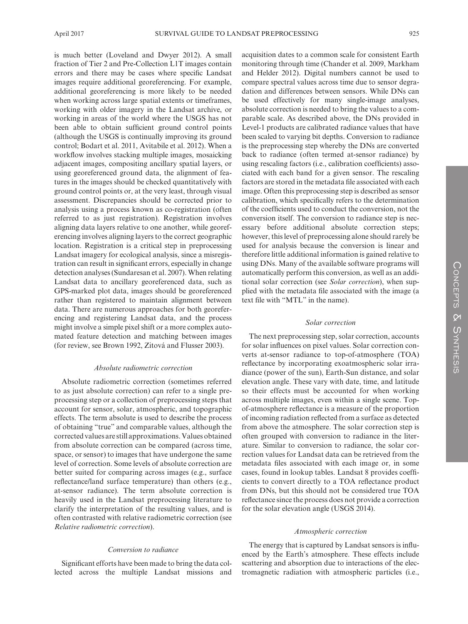is much better (Loveland and Dwyer 2012). A small fraction of Tier 2 and Pre-Collection L1T images contain errors and there may be cases where specific Landsat images require additional georeferencing. For example, additional georeferencing is more likely to be needed when working across large spatial extents or timeframes, working with older imagery in the Landsat archive, or working in areas of the world where the USGS has not been able to obtain sufficient ground control points (although the USGS is continually improving its ground control; Bodart et al. 2011, Avitabile et al. 2012). When a workflow involves stacking multiple images, mosaicking adjacent images, compositing ancillary spatial layers, or using georeferenced ground data, the alignment of features in the images should be checked quantitatively with ground control points or, at the very least, through visual assessment. Discrepancies should be corrected prior to analysis using a process known as co-registration (often referred to as just registration). Registration involves aligning data layers relative to one another, while georeferencing involves aligning layers to the correct geographic location. Registration is a critical step in preprocessing Landsat imagery for ecological analysis, since a misregistration can result in significant errors, especially in change detection analyses (Sundaresan et al. 2007). When relating Landsat data to ancillary georeferenced data, such as GPS-marked plot data, images should be georeferenced rather than registered to maintain alignment between data. There are numerous approaches for both georeferencing and registering Landsat data, and the process might involve a simple pixel shift or a more complex automated feature detection and matching between images (for review, see Brown 1992, Zitová and Flusser 2003).

# *Absolute radiometric correction*

Absolute radiometric correction (sometimes referred to as just absolute correction) can refer to a single preprocessing step or a collection of preprocessing steps that account for sensor, solar, atmospheric, and topographic effects. The term absolute is used to describe the process of obtaining "true" and comparable values, although the corrected values are still approximations. Values obtained from absolute correction can be compared (across time, space, or sensor) to images that have undergone the same level of correction. Some levels of absolute correction are better suited for comparing across images (e.g., surface reflectance/land surface temperature) than others (e.g., at-sensor radiance). The term absolute correction is heavily used in the Landsat preprocessing literature to clarify the interpretation of the resulting values, and is often contrasted with relative radiometric correction (see *Relative radiometric correction*).

# *Conversion to radiance*

Significant efforts have been made to bring the data collected across the multiple Landsat missions and acquisition dates to a common scale for consistent Earth monitoring through time (Chander et al. 2009, Markham and Helder 2012). Digital numbers cannot be used to compare spectral values across time due to sensor degradation and differences between sensors. While DNs can be used effectively for many single-image analyses, absolute correction is needed to bring the values to a comparable scale. As described above, the DNs provided in Level-1 products are calibrated radiance values that have been scaled to varying bit depths. Conversion to radiance is the preprocessing step whereby the DNs are converted back to radiance (often termed at-sensor radiance) by using rescaling factors (i.e., calibration coefficients) associated with each band for a given sensor. The rescaling factors are stored in the metadata file associated with each image. Often this preprocessing step is described as sensor calibration, which specifically refers to the determination of the coefficients used to conduct the conversion, not the conversion itself. The conversion to radiance step is necessary before additional absolute correction steps; however, this level of preprocessing alone should rarely be used for analysis because the conversion is linear and therefore little additional information is gained relative to using DNs. Many of the available software programs will automatically perform this conversion, as well as an additional solar correction (see *Solar correction*), when supplied with the metadata file associated with the image (a text file with "MTL" in the name).

# *Solar correction*

The next preprocessing step, solar correction, accounts for solar influences on pixel values. Solar correction converts at-sensor radiance to top-of-atmosphere (TOA) reflectance by incorporating exoatmospheric solar irradiance (power of the sun), Earth-Sun distance, and solar elevation angle. These vary with date, time, and latitude so their effects must be accounted for when working across multiple images, even within a single scene. Topof-atmosphere reflectance is a measure of the proportion of incoming radiation reflected from a surface as detected from above the atmosphere. The solar correction step is often grouped with conversion to radiance in the literature. Similar to conversion to radiance, the solar correction values for Landsat data can be retrieved from the metadata files associated with each image or, in some cases, found in lookup tables. Landsat 8 provides coefficients to convert directly to a TOA reflectance product from DNs, but this should not be considered true TOA reflectance since the process does not provide a correction for the solar elevation angle (USGS 2014).

#### *Atmospheric correction*

The energy that is captured by Landsat sensors is influenced by the Earth's atmosphere. These effects include scattering and absorption due to interactions of the electromagnetic radiation with atmospheric particles (i.e.,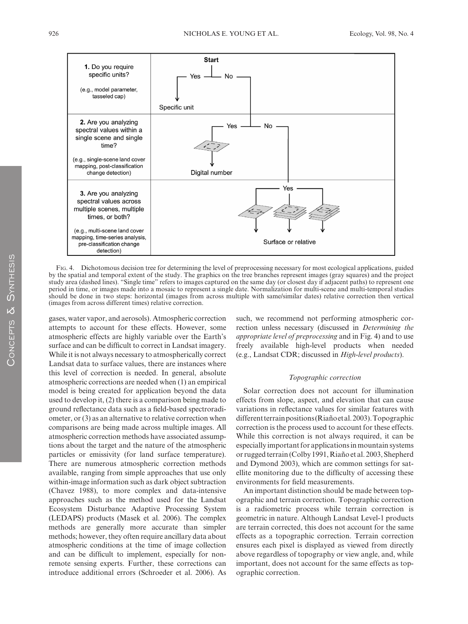

Fig. 4. Dichotomous decision tree for determining the level of preprocessing necessary for most ecological applications, guided by the spatial and temporal extent of the study. The graphics on the tree branches represent images (gray squares) and the project study area (dashed lines). "Single time" refers to images captured on the same day (or closest day if adjacent paths) to represent one period in time, or images made into a mosaic to represent a single date. Normalization for multi-scene and multi-temporal studies should be done in two steps: horizontal (images from across multiple with same/similar dates) relative correction then vertical (images from across different times) relative correction.

gases, water vapor, and aerosols). Atmospheric correction attempts to account for these effects. However, some atmospheric effects are highly variable over the Earth's surface and can be difficult to correct in Landsat imagery. While it is not always necessary to atmospherically correct Landsat data to surface values, there are instances where this level of correction is needed. In general, absolute atmospheric corrections are needed when (1) an empirical model is being created for application beyond the data used to develop it, (2) there is a comparison being made to ground reflectance data such as a field-based spectroradiometer, or (3) as an alternative to relative correction when comparisons are being made across multiple images. All atmospheric correction methods have associated assumptions about the target and the nature of the atmospheric particles or emissivity (for land surface temperature). There are numerous atmospheric correction methods available, ranging from simple approaches that use only within-image information such as dark object subtraction (Chavez 1988), to more complex and data-intensive approaches such as the method used for the Landsat Ecosystem Disturbance Adaptive Processing System (LEDAPS) products (Masek et al. 2006). The complex methods are generally more accurate than simpler methods; however, they often require ancillary data about atmospheric conditions at the time of image collection and can be difficult to implement, especially for nonremote sensing experts. Further, these corrections can introduce additional errors (Schroeder et al. 2006). As

such, we recommend not performing atmospheric correction unless necessary (discussed in *Determining the appropriate level of preprocessing* and in Fig. 4) and to use freely available high-level products when needed (e.g., Landsat CDR; discussed in *High-level products*).

# *Topographic correction*

Solar correction does not account for illumination effects from slope, aspect, and elevation that can cause variations in reflectance values for similar features with different terrain positions (Riaño etal. 2003). Topographic correction is the process used to account for these effects. While this correction is not always required, it can be especially important for applications in mountain systems or rugged terrain (Colby 1991, Riaño et al. 2003, Shepherd and Dymond 2003), which are common settings for satellite monitoring due to the difficulty of accessing these environments for field measurements.

An important distinction should be made between topographic and terrain correction. Topographic correction is a radiometric process while terrain correction is geometric in nature. Although Landsat Level-1 products are terrain corrected, this does not account for the same effects as a topographic correction. Terrain correction ensures each pixel is displayed as viewed from directly above regardless of topography or view angle, and, while important, does not account for the same effects as topographic correction.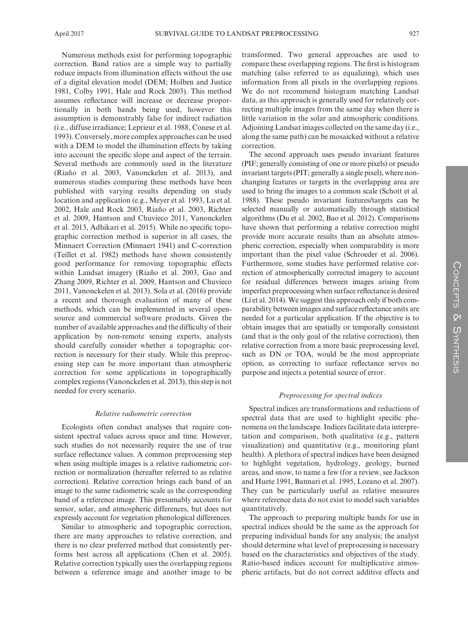Numerous methods exist for performing topographic correction. Band ratios are a simple way to partially reduce impacts from illumination effects without the use of a digital elevation model (DEM; Holben and Justice 1981, Colby 1991, Hale and Rock 2003). This method assumes reflectance will increase or decrease proportionally in both bands being used, however this assumption is demonstrably false for indirect radiation (i.e., diffuse irradiance; Leprieur et al. 1988, Conese et al. 1993). Conversely, more complex approaches can be used with a DEM to model the illumination effects by taking into account the specific slope and aspect of the terrain. Several methods are commonly used in the literature (Riaño et al. 2003, Vanonckelen et al. 2013), and numerous studies comparing these methods have been published with varying results depending on study location and application (e.g., Meyer et al. 1993, Lu et al. 2002, Hale and Rock 2003, Riaño et al. 2003, Richter et al. 2009, Hantson and Chuvieco 2011, Vanonckelen et al. 2013, Adhikari et al. 2015). While no specific topographic correction method is superior in all cases, the Minnaert Correction (Minnaert 1941) and C-correction (Teillet et al. 1982) methods have shown consistently good performance for removing topographic effects within Landsat imagery (Riaño et al. 2003, Gao and Zhang 2009, Richter et al. 2009, Hantson and Chuvieco 2011, Vanonckelen et al. 2013). Sola et al. (2016) provide a recent and thorough evaluation of many of these methods, which can be implemented in several opensource and commercial software products. Given the number of available approaches and the difficulty of their application by non-remote sensing experts, analysts should carefully consider whether a topographic correction is necessary for their study. While this preprocessing step can be more important than atmospheric correction for some applications in topographically complex regions (Vanonckelen et al. 2013), this step is not needed for every scenario.

# *Relative radiometric correction*

Ecologists often conduct analyses that require consistent spectral values across space and time. However, such studies do not necessarily require the use of true surface reflectance values. A common preprocessing step when using multiple images is a relative radiometric correction or normalization (hereafter referred to as relative correction). Relative correction brings each band of an image to the same radiometric scale as the corresponding band of a reference image. This presumably accounts for sensor, solar, and atmospheric differences, but does not expressly account for vegetation phenological differences.

Similar to atmospheric and topographic correction, there are many approaches to relative correction, and there is no clear preferred method that consistently performs best across all applications (Chen et al. 2005). Relative correction typically uses the overlapping regions between a reference image and another image to be

transformed. Two general approaches are used to compare these overlapping regions. The first is histogram matching (also referred to as equalizing), which uses information from all pixels in the overlapping regions. We do not recommend histogram matching Landsat data, as this approach is generally used for relatively correcting multiple images from the same day when there is little variation in the solar and atmospheric conditions. Adjoining Landsat images collected on the same day (i.e., along the same path) can be mosaicked without a relative correction.

The second approach uses pseudo invariant features (PIF; generally consisting of one or more pixels) or pseudo invariant targets (PIT; generally a single pixel), where nonchanging features or targets in the overlapping area are used to bring the images to a common scale (Schott et al. 1988). These pseudo invariant features/targets can be selected manually or automatically through statistical algorithms (Du et al. 2002, Bao et al. 2012). Comparisons have shown that performing a relative correction might provide more accurate results than an absolute atmospheric correction, especially when comparability is more important than the pixel value (Schroeder et al. 2006). Furthermore, some studies have performed relative correction of atmospherically corrected imagery to account for residual differences between images arising from imperfect preprocessing when surface reflectance is desired (Li et al. 2014). We suggest this approach only if both comparability between images and surface reflectance units are needed for a particular application. If the objective is to obtain images that are spatially or temporally consistent (and that is the only goal of the relative correction), then relative correction from a more basic preprocessing level, such as DN or TOA, would be the most appropriate option, as correcting to surface reflectance serves no purpose and injects a potential source of error.

# *Preprocessing for spectral indices*

Spectral indices are transformations and reductions of spectral data that are used to highlight specific phenomena on the landscape. Indices facilitate data interpretation and comparison, both qualitative (e.g., pattern visualization) and quantitative (e.g., monitoring plant health). A plethora of spectral indices have been designed to highlight vegetation, hydrology, geology, burned areas, and snow, to name a few (for a review, see Jackson and Huete 1991, Bannari et al. 1995, Lozano et al. 2007). They can be particularly useful as relative measures where reference data do not exist to model such variables quantitatively.

The approach to preparing multiple bands for use in spectral indices should be the same as the approach for preparing individual bands for any analysis; the analyst should determine what level of preprocessing is necessary based on the characteristics and objectives of the study. Ratio-based indices account for multiplicative atmospheric artifacts, but do not correct additive effects and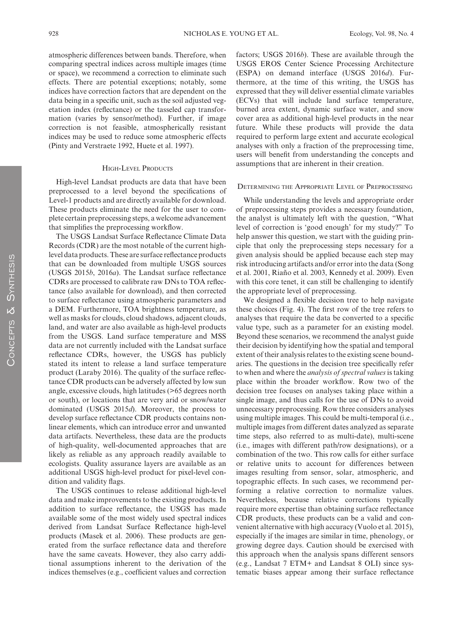atmospheric differences between bands. Therefore, when comparing spectral indices across multiple images (time or space), we recommend a correction to eliminate such effects. There are potential exceptions; notably, some indices have correction factors that are dependent on the data being in a specific unit, such as the soil adjusted vegetation index (reflectance) or the tasseled cap transformation (varies by sensor/method). Further, if image correction is not feasible, atmospherically resistant indices may be used to reduce some atmospheric effects (Pinty and Verstraete 1992, Huete et al. 1997).

#### HIGH-LEVEL PRODUCTS

High-level Landsat products are data that have been preprocessed to a level beyond the specifications of Level-1 products and are directly available for download. These products eliminate the need for the user to complete certain preprocessing steps, a welcome advancement that simplifies the preprocessing workflow.

The USGS Landsat Surface Reflectance Climate Data Records (CDR) are the most notable of the current highlevel data products. These are surface reflectance products that can be downloaded from multiple USGS sources (USGS 2015*b*, 2016*a*). The Landsat surface reflectance CDRs are processed to calibrate raw DNs to TOA reflectance (also available for download), and then corrected to surface reflectance using atmospheric parameters and a DEM. Furthermore, TOA brightness temperature, as well as masks for clouds, cloud shadows, adjacent clouds, land, and water are also available as high-level products from the USGS. Land surface temperature and MSS data are not currently included with the Landsat surface reflectance CDRs, however, the USGS has publicly stated its intent to release a land surface temperature product (Laraby 2016). The quality of the surface reflectance CDR products can be adversely affected by low sun angle, excessive clouds, high latitudes (>65 degrees north or south), or locations that are very arid or snow/water dominated (USGS 2015*d*). Moreover, the process to develop surface reflectance CDR products contains nonlinear elements, which can introduce error and unwanted data artifacts. Nevertheless, these data are the products of high-quality, well-documented approaches that are likely as reliable as any approach readily available to ecologists. Quality assurance layers are available as an additional USGS high-level product for pixel-level condition and validity flags.

The USGS continues to release additional high-level data and make improvements to the existing products. In addition to surface reflectance, the USGS has made available some of the most widely used spectral indices derived from Landsat Surface Reflectance high-level products (Masek et al. 2006). These products are generated from the surface reflectance data and therefore have the same caveats. However, they also carry additional assumptions inherent to the derivation of the indices themselves (e.g., coefficient values and correction

factors; USGS 2016*b*). These are available through the USGS EROS Center Science Processing Architecture (ESPA) on demand interface (USGS 2016*d*). Furthermore, at the time of this writing, the USGS has expressed that they will deliver essential climate variables (ECVs) that will include land surface temperature, burned area extent, dynamic surface water, and snow cover area as additional high-level products in the near future. While these products will provide the data required to perform large extent and accurate ecological analyses with only a fraction of the preprocessing time, users will benefit from understanding the concepts and assumptions that are inherent in their creation.

# Determining the Appropriate Level of Preprocessing

While understanding the levels and appropriate order of preprocessing steps provides a necessary foundation, the analyst is ultimately left with the question, "What level of correction is 'good enough' for my study?" To help answer this question, we start with the guiding principle that only the preprocessing steps necessary for a given analysis should be applied because each step may risk introducing artifacts and/or error into the data (Song et al. 2001, Riaño et al. 2003, Kennedy et al. 2009). Even with this core tenet, it can still be challenging to identify the appropriate level of preprocessing.

We designed a flexible decision tree to help navigate these choices (Fig. 4). The first row of the tree refers to analyses that require the data be converted to a specific value type, such as a parameter for an existing model. Beyond these scenarios, we recommend the analyst guide their decision by identifying how the spatial and temporal extent of their analysis relates to the existing scene boundaries. The questions in the decision tree specifically refer to when and where the *analysis of spectral values* is taking place within the broader workflow. Row two of the decision tree focuses on analyses taking place within a single image, and thus calls for the use of DNs to avoid unnecessary preprocessing. Row three considers analyses using multiple images. This could be multi-temporal (i.e., multiple images from different dates analyzed as separate time steps, also referred to as multi-date), multi-scene (i.e., images with different path/row designations), or a combination of the two. This row calls for either surface or relative units to account for differences between images resulting from sensor, solar, atmospheric, and topographic effects. In such cases, we recommend performing a relative correction to normalize values. Nevertheless, because relative corrections typically require more expertise than obtaining surface reflectance CDR products, these products can be a valid and convenient alternative with high accuracy (Vuolo et al. 2015), especially if the images are similar in time, phenology, or growing degree days. Caution should be exercised with this approach when the analysis spans different sensors (e.g., Landsat 7 ETM+ and Landsat 8 OLI) since systematic biases appear among their surface reflectance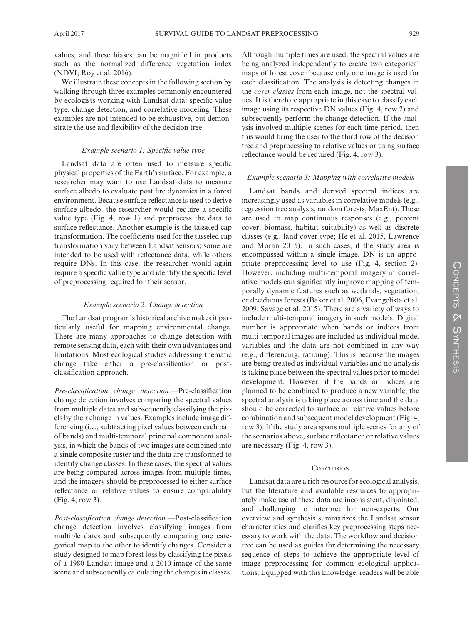values, and these biases can be magnified in products such as the normalized difference vegetation index (NDVI; Roy et al. 2016).

We illustrate these concepts in the following section by walking through three examples commonly encountered by ecologists working with Landsat data: specific value type, change detection, and correlative modeling. These examples are not intended to be exhaustive, but demonstrate the use and flexibility of the decision tree.

### *Example scenario 1: Specific value type*

Landsat data are often used to measure specific physical properties of the Earth's surface. For example, a researcher may want to use Landsat data to measure surface albedo to evaluate post fire dynamics in a forest environment. Because surface reflectance is used to derive surface albedo, the researcher would require a specific value type (Fig. 4, row 1) and preprocess the data to surface reflectance. Another example is the tasseled cap transformation. The coefficients used for the tasseled cap transformation vary between Landsat sensors; some are intended to be used with reflectance data, while others require DNs. In this case, the researcher would again require a specific value type and identify the specific level of preprocessing required for their sensor.

#### *Example scenario 2: Change detection*

The Landsat program's historical archive makes it particularly useful for mapping environmental change. There are many approaches to change detection with remote sensing data, each with their own advantages and limitations. Most ecological studies addressing thematic change take either a pre-classification or postclassification approach.

*Pre-classification change detection.—*Pre-classification change detection involves comparing the spectral values from multiple dates and subsequently classifying the pixels by their change in values. Examples include image differencing (i.e., subtracting pixel values between each pair of bands) and multi-temporal principal component analysis, in which the bands of two images are combined into a single composite raster and the data are transformed to identify change classes. In these cases, the spectral values are being compared across images from multiple times, and the imagery should be preprocessed to either surface reflectance or relative values to ensure comparability (Fig. 4, row 3).

*Post-classification change detection.—*Post-classification change detection involves classifying images from multiple dates and subsequently comparing one categorical map to the other to identify changes. Consider a study designed to map forest loss by classifying the pixels of a 1980 Landsat image and a 2010 image of the same scene and subsequently calculating the changes in classes.

Although multiple times are used, the spectral values are being analyzed independently to create two categorical maps of forest cover because only one image is used for each classification. The analysis is detecting changes in the *cover classes* from each image, not the spectral values. It is therefore appropriate in this case to classify each image using its respective DN values (Fig. 4, row 2) and subsequently perform the change detection. If the analysis involved multiple scenes for each time period, then this would bring the user to the third row of the decision tree and preprocessing to relative values or using surface reflectance would be required (Fig. 4, row 3).

#### *Example scenario 3: Mapping with correlative models*

Landsat bands and derived spectral indices are increasingly used as variables in correlative models (e.g., regression tree analysis, random forests, MaxEnt). These are used to map continuous responses (e.g., percent cover, biomass, habitat suitability) as well as discrete classes (e.g., land cover type; He et al. 2015, Lawrence and Moran 2015). In such cases, if the study area is encompassed within a single image, DN is an appropriate preprocessing level to use (Fig. 4, section 2). However, including multi-temporal imagery in correlative models can significantly improve mapping of temporally dynamic features such as wetlands, vegetation, or deciduous forests (Baker et al. 2006, Evangelista et al. 2009, Savage et al. 2015). There are a variety of ways to include multi-temporal imagery in such models. Digital number is appropriate when bands or indices from multi-temporal images are included as individual model variables and the data are not combined in any way (e.g., differencing, ratioing). This is because the images are being treated as individual variables and no analysis is taking place between the spectral values prior to model development. However, if the bands or indices are planned to be combined to produce a new variable, the spectral analysis is taking place across time and the data should be corrected to surface or relative values before combination and subsequent model development (Fig. 4, row 3). If the study area spans multiple scenes for any of the scenarios above, surface reflectance or relative values are necessary (Fig. 4, row 3).

# **CONCLUSION**

Landsat data are a rich resource for ecological analysis, but the literature and available resources to appropriately make use of these data are inconsistent, disjointed, and challenging to interpret for non-experts. Our overview and synthesis summarizes the Landsat sensor characteristics and clarifies key preprocessing steps necessary to work with the data. The workflow and decision tree can be used as guides for determining the necessary sequence of steps to achieve the appropriate level of image preprocessing for common ecological applications. Equipped with this knowledge, readers will be able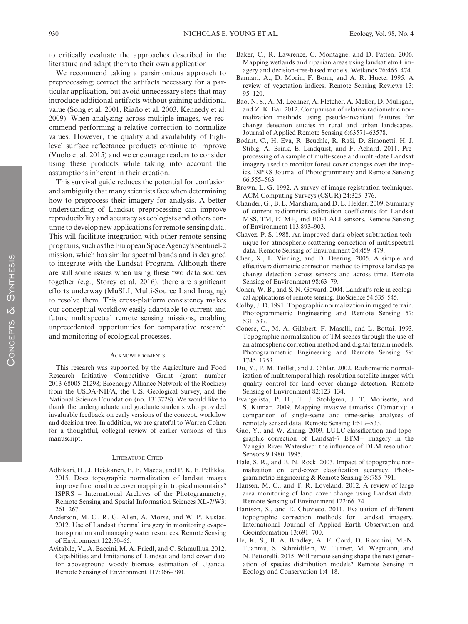to critically evaluate the approaches described in the literature and adapt them to their own application.

We recommend taking a parsimonious approach to preprocessing; correct the artifacts necessary for a particular application, but avoid unnecessary steps that may introduce additional artifacts without gaining additional value (Song et al. 2001, Riaño et al. 2003, Kennedy et al. 2009). When analyzing across multiple images, we recommend performing a relative correction to normalize values. However, the quality and availability of highlevel surface reflectance products continue to improve (Vuolo et al. 2015) and we encourage readers to consider using these products while taking into account the assumptions inherent in their creation.

This survival guide reduces the potential for confusion and ambiguity that many scientists face when determining how to preprocess their imagery for analysis. A better understanding of Landsat preprocessing can improve reproducibility and accuracy as ecologists and others continue to develop new applications for remote sensing data. This will facilitate integration with other remote sensing programs, such as the European Space Agency's Sentinel-2 mission, which has similar spectral bands and is designed to integrate with the Landsat Program. Although there are still some issues when using these two data sources together (e.g., Storey et al. 2016), there are significant efforts underway (MuSLI, Multi-Source Land Imaging) to resolve them. This cross-platform consistency makes our conceptual workflow easily adaptable to current and future multispectral remote sensing missions, enabling unprecedented opportunities for comparative research and monitoring of ecological processes.

#### **ACKNOWLEDGMENTS**

This research was supported by the Agriculture and Food Research Initiative Competitive Grant (grant number 2013-68005-21298; Bioenergy Alliance Network of the Rockies) from the USDA-NIFA, the U.S. Geological Survey, and the National Science Foundation (no. 1313728). We would like to thank the undergraduate and graduate students who provided invaluable feedback on early versions of the concept, workflow and decision tree. In addition, we are grateful to Warren Cohen for a thoughtful, collegial review of earlier versions of this manuscript.

#### Literature Cited

- Adhikari, H., J. Heiskanen, E. E. Maeda, and P. K. E. Pellikka. 2015. Does topographic normalization of landsat images improve fractional tree cover mapping in tropical mountains? ISPRS – International Archives of the Photogrammetry, Remote Sensing and Spatial Information Sciences XL-7/W3: 261–267.
- Anderson, M. C., R. G. Allen, A. Morse, and W. P. Kustas. 2012. Use of Landsat thermal imagery in monitoring evapotranspiration and managing water resources. Remote Sensing of Environment 122:50–65.
- Avitabile, V., A. Baccini, M. A. Friedl, and C. Schmullius. 2012. Capabilities and limitations of Landsat and land cover data for aboveground woody biomass estimation of Uganda. Remote Sensing of Environment 117:366–380.
- Baker, C., R. Lawrence, C. Montagne, and D. Patten. 2006. Mapping wetlands and riparian areas using landsat etm+ imagery and decision-tree-based models. Wetlands 26:465–474.
- Bannari, A., D. Morin, F. Bonn, and A. R. Huete. 1995. A review of vegetation indices. Remote Sensing Reviews 13: 95–120.
- Bao, N. S., A. M. Lechner, A. Fletcher, A. Mellor, D. Mulligan, and Z. K. Bai. 2012. Comparison of relative radiometric normalization methods using pseudo-invariant features for change detection studies in rural and urban landscapes. Journal of Applied Remote Sensing 6:63571–63578.
- Bodart, C., H. Eva, R. Beuchle, R. Raši, D. Simonetti, H.-J. Stibig, A. Brink, E. Lindquist, and F. Achard. 2011. Preprocessing of a sample of multi-scene and multi-date Landsat imagery used to monitor forest cover changes over the tropics. ISPRS Journal of Photogrammetry and Remote Sensing 66:555–563.
- Brown, L. G. 1992. A survey of image registration techniques. ACM Computing Surveys (CSUR) 24:325–376.
- Chander, G., B. L. Markham, and D. L. Helder. 2009. Summary of current radiometric calibration coefficients for Landsat MSS, TM, ETM+, and EO-1 ALI sensors. Remote Sensing of Environment 113:893–903.
- Chavez, P. S. 1988. An improved dark-object subtraction technique for atmospheric scattering correction of multispectral data. Remote Sensing of Environment 24:459–479.
- Chen, X., L. Vierling, and D. Deering. 2005. A simple and effective radiometric correction method to improve landscape change detection across sensors and across time. Remote Sensing of Environment 98:63–79.
- Cohen, W. B., and S. N. Goward. 2004. Landsat's role in ecological applications of remote sensing. BioScience 54:535–545.
- Colby, J. D. 1991. Topographic normalization in rugged terrain. Photogrammetric Engineering and Remote Sensing 57: 531–537.
- Conese, C., M. A. Gilabert, F. Maselli, and L. Bottai. 1993. Topographic normalization of TM scenes through the use of an atmospheric correction method and digital terrain models. Photogrammetric Engineering and Remote Sensing 59: 1745–1753.
- Du, Y., P. M. Teillet, and J. Cihlar. 2002. Radiometric normalization of multitemporal high-resolution satellite images with quality control for land cover change detection. Remote Sensing of Environment 82:123–134.
- Evangelista, P. H., T. J. Stohlgren, J. T. Morisette, and S. Kumar. 2009. Mapping invasive tamarisk (Tamarix): a comparison of single-scene and time-series analyses of remotely sensed data. Remote Sensing 1:519–533.
- Gao, Y., and W. Zhang. 2009. LULC classification and topographic correction of Landsat-7 ETM+ imagery in the Yangjia River Watershed: the influence of DEM resolution. Sensors 9:1980–1995.
- Hale, S. R., and B. N. Rock. 2003. Impact of topographic normalization on land-cover classification accuracy. Photogrammetric Engineering & Remote Sensing 69:785–791.
- Hansen, M. C., and T. R. Loveland. 2012. A review of large area monitoring of land cover change using Landsat data. Remote Sensing of Environment 122:66–74.
- Hantson, S., and E. Chuvieco. 2011. Evaluation of different topographic correction methods for Landsat imagery. International Journal of Applied Earth Observation and Geoinformation 13:691–700.
- He, K. S., B. A. Bradley, A. F. Cord, D. Rocchini, M.-N. Tuanmu, S. Schmidtlein, W. Turner, M. Wegmann, and N. Pettorelli. 2015. Will remote sensing shape the next generation of species distribution models? Remote Sensing in Ecology and Conservation 1:4–18.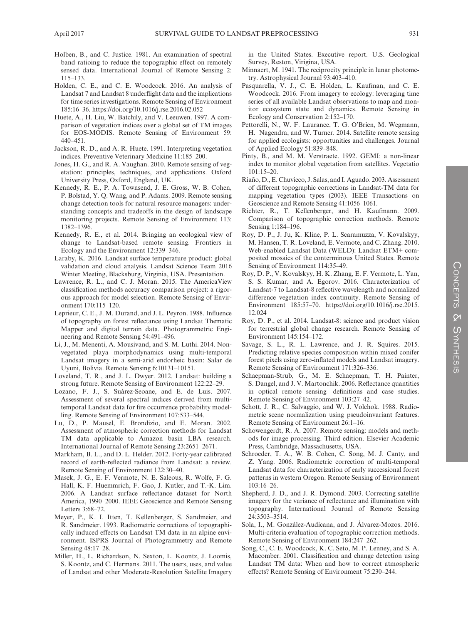- Holben, B., and C. Justice. 1981. An examination of spectral band ratioing to reduce the topographic effect on remotely sensed data. International Journal of Remote Sensing 2: 115–133.
- Holden, C. E., and C. E. Woodcock. 2016. An analysis of Landsat 7 and Landsat 8 underflight data and the implications for time series investigations. Remote Sensing of Environment 185:16–36. <https://doi.org/10.1016/j.rse.2016.02.052>
- Huete, A., H. Liu, W. Batchily, and V. Leeuwen. 1997. A comparison of vegetation indices over a global set of TM images for EOS-MODIS. Remote Sensing of Environment 59: 440–451.
- Jackson, R. D., and A. R. Huete. 1991. Interpreting vegetation indices. Preventive Veterinary Medicine 11:185–200.
- Jones, H. G., and R. A. Vaughan. 2010. Remote sensing of vegetation: principles, techniques, and applications. Oxford University Press, Oxford, England, UK.
- Kennedy, R. E., P. A. Townsend, J. E. Gross, W. B. Cohen, P. Bolstad, Y. Q. Wang, and P. Adams. 2009. Remote sensing change detection tools for natural resource managers: understanding concepts and tradeoffs in the design of landscape monitoring projects. Remote Sensing of Environment 113: 1382–1396.
- Kennedy, R. E., et al. 2014. Bringing an ecological view of change to Landsat-based remote sensing. Frontiers in Ecology and the Environment 12:339–346.
- Laraby, K. 2016. Landsat surface temperature product: global validation and cloud analysis. Landsat Science Team 2016 Winter Meeting, Blacksburg, Virginia, USA. Presentation.
- Lawrence, R. L., and C. J. Moran. 2015. The AmericaView classification methods accuracy comparison project: a rigorous approach for model selection. Remote Sensing of Environment 170:115–120.
- Leprieur, C. E., J. M. Durand, and J. L. Peyron. 1988. Influence of topography on forest reflectance using Landsat Thematic Mapper and digital terrain data. Photogrammetric Engineering and Remote Sensing 54:491–496.
- Li, J., M. Menenti, A. Mousivand, and S. M. Luthi. 2014. Nonvegetated playa morphodynamics using multi-temporal Landsat imagery in a semi-arid endorheic basin: Salar de Uyuni, Bolivia. Remote Sensing 6:10131–10151.
- Loveland, T. R., and J. L. Dwyer. 2012. Landsat: building a strong future. Remote Sensing of Environment 122:22–29.
- Lozano, F. J., S. Suárez-Seoane, and E. de Luis. 2007. Assessment of several spectral indices derived from multitemporal Landsat data for fire occurrence probability modelling. Remote Sensing of Environment 107:533–544.
- Lu, D., P. Mausel, E. Brondizio, and E. Moran. 2002. Assessment of atmospheric correction methods for Landsat TM data applicable to Amazon basin LBA research. International Journal of Remote Sensing 23:2651–2671.
- Markham, B. L., and D. L. Helder. 2012. Forty-year calibrated record of earth-reflected radiance from Landsat: a review. Remote Sensing of Environment 122:30–40.
- Masek, J. G., E. F. Vermote, N. E. Saleous, R. Wolfe, F. G. Hall, K. F. Huemmrich, F. Gao, J. Kutler, and T.-K. Lim. 2006. A Landsat surface reflectance dataset for North America, 1990–2000. IEEE Geoscience and Remote Sensing Letters 3:68–72.
- Meyer, P., K. I. Itten, T. Kellenberger, S. Sandmeier, and R. Sandmeier. 1993. Radiometric corrections of topographically induced effects on Landsat TM data in an alpine environment. ISPRS Journal of Photogrammetry and Remote Sensing 48:17–28.
- Miller, H., L. Richardson, N. Sexton, L. Koontz, J. Loomis, S. Koontz, and C. Hermans. 2011. The users, uses, and value of Landsat and other Moderate-Resolution Satellite Imagery

in the United States. Executive report. U.S. Geological Survey, Reston, Virigina, USA.

- Minnaert, M. 1941. The reciprocity principle in lunar photometry. Astrophysical Journal 93:403–410.
- Pasquarella, V. J., C. E. Holden, L. Kaufman, and C. E. Woodcock. 2016. From imagery to ecology: leveraging time series of all available Landsat observations to map and monitor ecosystem state and dynamics. Remote Sensing in Ecology and Conservation 2:152–170.
- Pettorelli, N., W. F. Laurance, T. G. O'Brien, M. Wegmann, H. Nagendra, and W. Turner. 2014. Satellite remote sensing for applied ecologists: opportunities and challenges. Journal of Applied Ecology 51:839–848.
- Pinty, B., and M. M. Verstraete. 1992. GEMI: a non-linear index to monitor global vegetation from satellites. Vegetatio 101:15–20.
- Riaño, D., E. Chuvieco, J. Salas, and I. Aguado. 2003. Assessment of different topographic corrections in Landsat-TM data for mapping vegetation types (2003). IEEE Transactions on Geoscience and Remote Sensing 41:1056–1061.
- Richter, R., T. Kellenberger, and H. Kaufmann. 2009. Comparison of topographic correction methods. Remote Sensing 1:184–196.
- Roy, D. P., J. Ju, K. Kline, P. L. Scaramuzza, V. Kovalskyy, M. Hansen, T. R. Loveland, E. Vermote, and C. Zhang. 2010. Web-enabled Landsat Data (WELD): Landsat ETM+ composited mosaics of the conterminous United States. Remote Sensing of Environment 114:35–49.
- Roy, D. P., V. Kovalskyy, H. K. Zhang, E. F. Vermote, L. Yan, S. S. Kumar, and A. Egorov. 2016. Characterization of Landsat-7 to Landsat-8 reflective wavelength and normalized difference vegetation index continuity. Remote Sensing of Environment 185:57–70. [https://doi.org/10.1016/j.rse.2015.](https://doi.org/10.1016/j.rse.2015.12.024) [12.024](https://doi.org/10.1016/j.rse.2015.12.024)
- Roy, D. P., et al. 2014. Landsat-8: science and product vision for terrestrial global change research. Remote Sensing of Environment 145:154–172.
- Savage, S. L., R. L. Lawrence, and J. R. Squires. 2015. Predicting relative species composition within mixed conifer forest pixels using zero-inflated models and Landsat imagery. Remote Sensing of Environment 171:326–336.
- Schaepman-Strub, G., M. E. Schaepman, T. H. Painter, S. Dangel, and J. V. Martonchik. 2006. Reflectance quantities in optical remote sensing—definitions and case studies. Remote Sensing of Environment 103:27–42.
- Schott, J. R., C. Salvaggio, and W. J. Volchok. 1988. Radiometric scene normalization using pseudoinvariant features. Remote Sensing of Environment 26:1–16.
- Schowengerdt, R. A. 2007. Remote sensing: models and methods for image processing. Third edition. Elsevier Academic Press, Cambridge, Massachusetts, USA.
- Schroeder, T. A., W. B. Cohen, C. Song, M. J. Canty, and Z. Yang. 2006. Radiometric correction of multi-temporal Landsat data for characterization of early successional forest patterns in western Oregon. Remote Sensing of Environment  $103.16 - 26$
- Shepherd, J. D., and J. R. Dymond. 2003. Correcting satellite imagery for the variance of reflectance and illumination with topography. International Journal of Remote Sensing 24:3503–3514.
- Sola, I., M. González-Audícana, and J. Álvarez-Mozos. 2016. Multi-criteria evaluation of topographic correction methods. Remote Sensing of Environment 184:247–262.
- Song, C., C. E. Woodcock, K. C. Seto, M. P. Lenney, and S. A. Macomber. 2001. Classification and change detection using Landsat TM data: When and how to correct atmospheric effects? Remote Sensing of Environment 75:230–244.